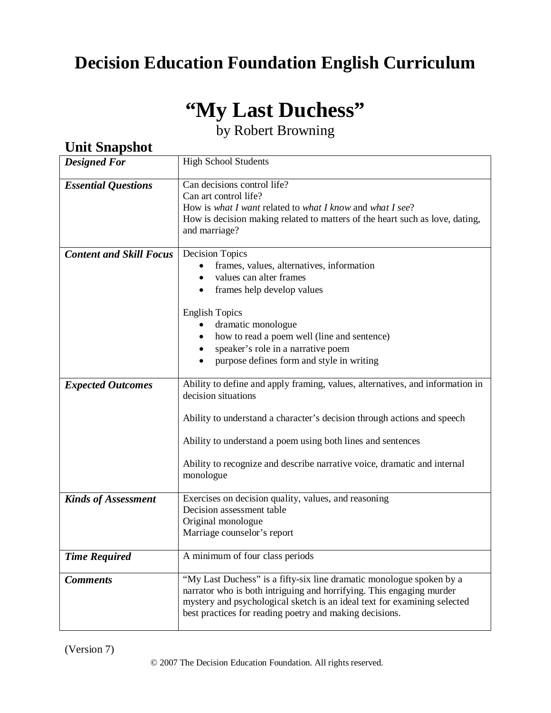## **Decision Education Foundation English Curriculum**

# **"My Last Duchess"**

by Robert Browning

| <b>Designed For</b>            | <b>High School Students</b>                                                                                                                                                                                                                                                                                                             |  |
|--------------------------------|-----------------------------------------------------------------------------------------------------------------------------------------------------------------------------------------------------------------------------------------------------------------------------------------------------------------------------------------|--|
| <b>Essential Questions</b>     | Can decisions control life?<br>Can art control life?<br>How is what I want related to what I know and what I see?<br>How is decision making related to matters of the heart such as love, dating,<br>and marriage?                                                                                                                      |  |
| <b>Content and Skill Focus</b> | <b>Decision Topics</b><br>frames, values, alternatives, information<br>values can alter frames<br>frames help develop values<br><b>English Topics</b><br>dramatic monologue<br>how to read a poem well (line and sentence)<br>speaker's role in a narrative poem<br>purpose defines form and style in writing<br>$\bullet$              |  |
| <b>Expected Outcomes</b>       | Ability to define and apply framing, values, alternatives, and information in<br>decision situations<br>Ability to understand a character's decision through actions and speech<br>Ability to understand a poem using both lines and sentences<br>Ability to recognize and describe narrative voice, dramatic and internal<br>monologue |  |
| <b>Kinds of Assessment</b>     | Exercises on decision quality, values, and reasoning<br>Decision assessment table<br>Original monologue<br>Marriage counselor's report                                                                                                                                                                                                  |  |
| <b>Time Required</b>           | A minimum of four class periods                                                                                                                                                                                                                                                                                                         |  |
| <b>Comments</b>                | "My Last Duchess" is a fifty-six line dramatic monologue spoken by a<br>narrator who is both intriguing and horrifying. This engaging murder<br>mystery and psychological sketch is an ideal text for examining selected<br>best practices for reading poetry and making decisions.                                                     |  |

## **Unit Snapshot**

(Version 7)

© 2007 The Decision Education Foundation. All rights reserved.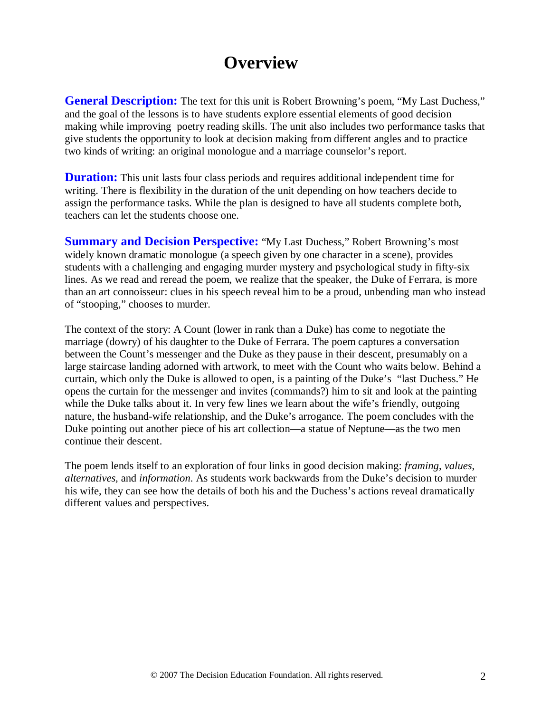## **Overview**

**General Description:** The text for this unit is Robert Browning's poem, "My Last Duchess," and the goal of the lessons is to have students explore essential elements of good decision making while improving poetry reading skills. The unit also includes two performance tasks that give students the opportunity to look at decision making from different angles and to practice two kinds of writing: an original monologue and a marriage counselor's report.

**Duration:** This unit lasts four class periods and requires additional independent time for writing. There is flexibility in the duration of the unit depending on how teachers decide to assign the performance tasks. While the plan is designed to have all students complete both, teachers can let the students choose one.

**Summary and Decision Perspective:** "My Last Duchess," Robert Browning's most widely known dramatic monologue (a speech given by one character in a scene), provides students with a challenging and engaging murder mystery and psychological study in fifty-six lines. As we read and reread the poem, we realize that the speaker, the Duke of Ferrara, is more than an art connoisseur: clues in his speech reveal him to be a proud, unbending man who instead of "stooping," chooses to murder.

The context of the story: A Count (lower in rank than a Duke) has come to negotiate the marriage (dowry) of his daughter to the Duke of Ferrara. The poem captures a conversation between the Count's messenger and the Duke as they pause in their descent, presumably on a large staircase landing adorned with artwork, to meet with the Count who waits below. Behind a curtain, which only the Duke is allowed to open, is a painting of the Duke's "last Duchess." He opens the curtain for the messenger and invites (commands?) him to sit and look at the painting while the Duke talks about it. In very few lines we learn about the wife's friendly, outgoing nature, the husband-wife relationship, and the Duke's arrogance. The poem concludes with the Duke pointing out another piece of his art collection—a statue of Neptune—as the two men continue their descent.

The poem lends itself to an exploration of four links in good decision making: *framing*, *values*, *alternatives,* and *information*. As students work backwards from the Duke's decision to murder his wife, they can see how the details of both his and the Duchess's actions reveal dramatically different values and perspectives.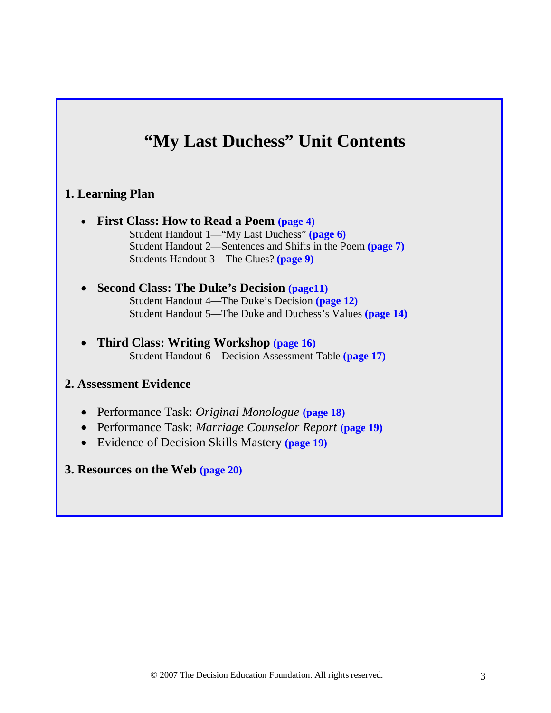## **"My Last Duchess" Unit Contents**

#### **1. Learning Plan**

- **First Class: How to Read a Poem (page 4)** Student Handout 1—"My Last Duchess" **(page 6)** Student Handout 2—Sentences and Shifts in the Poem **(page 7)** Students Handout 3—The Clues? **(page 9)**
- **Second Class: The Duke's Decision (page11)** Student Handout 4—The Duke's Decision **(page 12)** Student Handout 5—The Duke and Duchess's Values **(page 14)**
- **Third Class: Writing Workshop (page 16)** Student Handout 6—Decision Assessment Table **(page 17)**

#### **2. Assessment Evidence**

- Performance Task: *Original Monologue* **(page 18)**
- Performance Task: *Marriage Counselor Report* **(page 19)**
- Evidence of Decision Skills Mastery **(page 19)**
- **3. Resources on the Web (page 20)**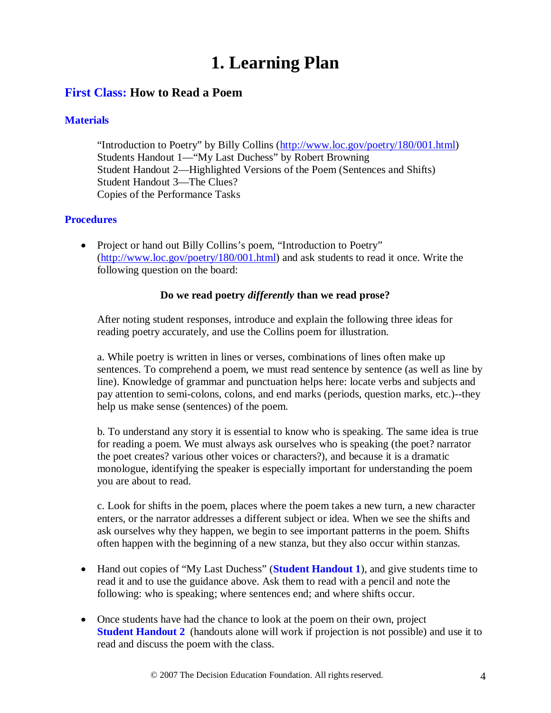## **1. Learning Plan**

### **First Class: How to Read a Poem**

#### **Materials**

"Introduction to Poetry" by Billy Collins [\(http://www.loc.gov/poetry/180/001.html\)](http://www.loc.gov/poetry/180/001.html) Students Handout 1—"My Last Duchess" by Robert Browning Student Handout 2—Highlighted Versions of the Poem (Sentences and Shifts) Student Handout 3—The Clues? Copies of the Performance Tasks

#### **Procedures**

• Project or hand out Billy Collins's poem, "Introduction to Poetry" [\(http://www.loc.gov/poetry/180/001.html\)](http://www.loc.gov/poetry/180/001.html) and ask students to read it once. Write the following question on the board:

#### **Do we read poetry** *differently* **than we read prose?**

After noting student responses, introduce and explain the following three ideas for reading poetry accurately, and use the Collins poem for illustration.

a. While poetry is written in lines or verses, combinations of lines often make up sentences. To comprehend a poem, we must read sentence by sentence (as well as line by line). Knowledge of grammar and punctuation helps here: locate verbs and subjects and pay attention to semi-colons, colons, and end marks (periods, question marks, etc.)--they help us make sense (sentences) of the poem.

b. To understand any story it is essential to know who is speaking. The same idea is true for reading a poem. We must always ask ourselves who is speaking (the poet? narrator the poet creates? various other voices or characters?), and because it is a dramatic monologue, identifying the speaker is especially important for understanding the poem you are about to read.

c. Look for shifts in the poem, places where the poem takes a new turn, a new character enters, or the narrator addresses a different subject or idea. When we see the shifts and ask ourselves why they happen, we begin to see important patterns in the poem. Shifts often happen with the beginning of a new stanza, but they also occur within stanzas.

- Hand out copies of "My Last Duchess" (**Student Handout 1**), and give students time to read it and to use the guidance above. Ask them to read with a pencil and note the following: who is speaking; where sentences end; and where shifts occur.
- Once students have had the chance to look at the poem on their own, project **Student Handout 2** (handouts alone will work if projection is not possible) and use it to read and discuss the poem with the class.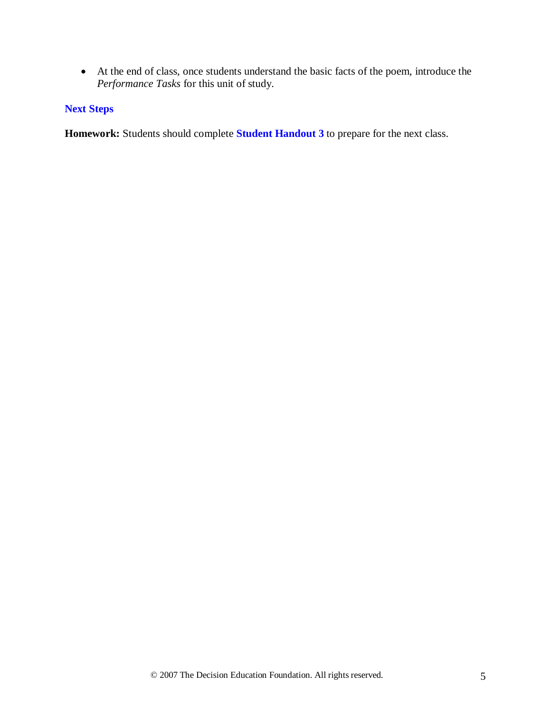• At the end of class, once students understand the basic facts of the poem, introduce the *Performance Tasks* for this unit of study.

#### **Next Steps**

**Homework:** Students should complete **Student Handout 3** to prepare for the next class.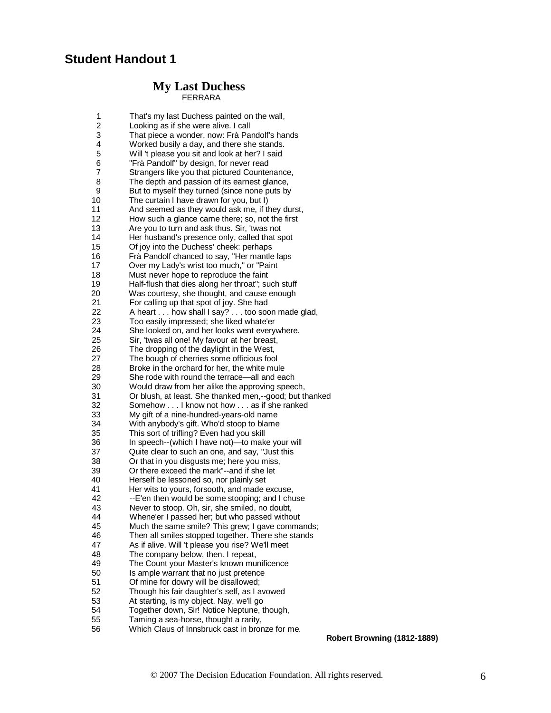## **Student Handout 1**

#### **My Last DuchessFERRARA**

| 1  | That's my last Duchess painted on the wall,             |
|----|---------------------------------------------------------|
| 2  | Looking as if she were alive. I call                    |
| 3  | That piece a wonder, now: Frà Pandolf's hands           |
| 4  | Worked busily a day, and there she stands.              |
| 5  | Will 't please you sit and look at her? I said          |
|    |                                                         |
| 6  | "Frà Pandolf" by design, for never read                 |
| 7  | Strangers like you that pictured Countenance,           |
| 8  | The depth and passion of its earnest glance,            |
| 9  | But to myself they turned (since none puts by           |
| 10 | The curtain I have drawn for you, but I)                |
| 11 | And seemed as they would ask me, if they durst,         |
| 12 | How such a glance came there; so, not the first         |
| 13 | Are you to turn and ask thus. Sir, 'twas not            |
| 14 | Her husband's presence only, called that spot           |
| 15 | Of joy into the Duchess' cheek: perhaps                 |
| 16 | Frà Pandolf chanced to say, "Her mantle laps            |
| 17 | Over my Lady's wrist too much," or "Paint"              |
| 18 | Must never hope to reproduce the faint                  |
| 19 | Half-flush that dies along her throat"; such stuff      |
| 20 | Was courtesy, she thought, and cause enough             |
| 21 | For calling up that spot of joy. She had                |
| 22 | A heart how shall I say? too soon made glad,            |
| 23 | Too easily impressed; she liked whate'er                |
| 24 | She looked on, and her looks went everywhere.           |
| 25 | Sir, 'twas all one! My favour at her breast,            |
| 26 | The dropping of the daylight in the West,               |
| 27 | The bough of cherries some officious fool               |
| 28 | Broke in the orchard for her, the white mule            |
| 29 | She rode with round the terrace—all and each            |
|    |                                                         |
| 30 | Would draw from her alike the approving speech,         |
| 31 | Or blush, at least. She thanked men,--good; but thanked |
| 32 | Somehow I know not how as if she ranked                 |
| 33 | My gift of a nine-hundred-years-old name                |
| 34 | With anybody's gift. Who'd stoop to blame               |
| 35 | This sort of trifling? Even had you skill               |
| 36 | In speech--(which I have not)-to make your will         |
| 37 | Quite clear to such an one, and say, "Just this         |
| 38 | Or that in you disgusts me; here you miss,              |
| 39 | Or there exceed the mark"--and if she let               |
| 40 | Herself be lessoned so, nor plainly set                 |
| 41 | Her wits to yours, forsooth, and made excuse,           |
| 42 | --E'en then would be some stooping; and I chuse         |
| 43 | Never to stoop. Oh, sir, she smiled, no doubt,          |
| 44 | Whene'er I passed her; but who passed without           |
| 45 | Much the same smile? This grew; I gave commands;        |
| 46 | Then all smiles stopped together. There she stands      |
| 47 | As if alive. Will 't please you rise? We'll meet        |
| 48 | The company below, then. I repeat,                      |
| 49 | The Count your Master's known munificence               |
| 50 | Is ample warrant that no just pretence                  |
| 51 | Of mine for dowry will be disallowed;                   |
| 52 | Though his fair daughter's self, as I avowed            |
| 53 | At starting, is my object. Nay, we'll go                |
| 54 | Together down, Sir! Notice Neptune, though,             |
| 55 | Taming a sea-horse, thought a rarity,                   |
| 56 | Which Claus of Innsbruck cast in bronze for me.         |
|    |                                                         |

 **Robert Browning (1812-1889)**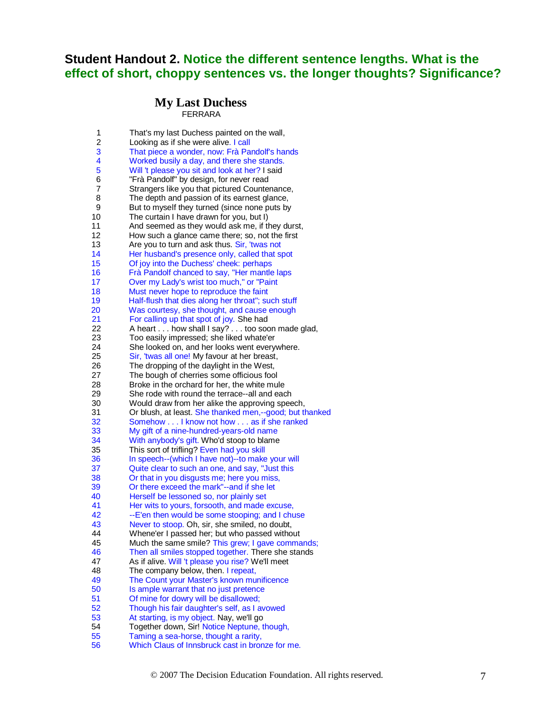## **Student Handout 2. Notice the different sentence lengths. What is the effect of short, choppy sentences vs. the longer thoughts? Significance?**

#### **My Last DuchessFERRARA**

| 1              | That's my last Duchess painted on the wall,                                              |
|----------------|------------------------------------------------------------------------------------------|
| $\overline{c}$ | Looking as if she were alive. I call                                                     |
| 3              | That piece a wonder, now: Frà Pandolf's hands                                            |
| 4              | Worked busily a day, and there she stands.                                               |
| 5              | Will 't please you sit and look at her? I said                                           |
| 6              | "Frà Pandolf" by design, for never read                                                  |
| 7              | Strangers like you that pictured Countenance,                                            |
| 8              | The depth and passion of its earnest glance,                                             |
| 9              | But to myself they turned (since none puts by                                            |
| 10             | The curtain I have drawn for you, but I)                                                 |
| 11             | And seemed as they would ask me, if they durst,                                          |
| 12             | How such a glance came there; so, not the first                                          |
| 13             | Are you to turn and ask thus. Sir, 'twas not                                             |
| 14             | Her husband's presence only, called that spot                                            |
| 15             | Of joy into the Duchess' cheek: perhaps                                                  |
| 16             | Frà Pandolf chanced to say, "Her mantle laps                                             |
| 17             | Over my Lady's wrist too much," or "Paint                                                |
| 18             | Must never hope to reproduce the faint                                                   |
| 19             | Half-flush that dies along her throat"; such stuff                                       |
| 20             | Was courtesy, she thought, and cause enough                                              |
| 21             | For calling up that spot of joy. She had                                                 |
| 22             | A heart how shall I say? too soon made glad,                                             |
| 23             | Too easily impressed; she liked whate'er                                                 |
| 24             | She looked on, and her looks went everywhere.                                            |
| 25             | Sir, 'twas all one! My favour at her breast,                                             |
|                |                                                                                          |
| 26<br>27       | The dropping of the daylight in the West,                                                |
| 28             | The bough of cherries some officious fool                                                |
|                |                                                                                          |
|                | Broke in the orchard for her, the white mule                                             |
| 29             | She rode with round the terrace--all and each                                            |
| 30             | Would draw from her alike the approving speech,                                          |
| 31             | Or blush, at least. She thanked men,--good; but thanked                                  |
| 32             | Somehow I know not how as if she ranked                                                  |
| 33             | My gift of a nine-hundred-years-old name                                                 |
| 34             | With anybody's gift. Who'd stoop to blame                                                |
| 35             | This sort of trifling? Even had you skill                                                |
| 36             | In speech--(which I have not)--to make your will                                         |
| 37             | Quite clear to such an one, and say, "Just this                                          |
| 38             | Or that in you disgusts me; here you miss,                                               |
| 39             | Or there exceed the mark"--and if she let                                                |
| 40             | Herself be lessoned so, nor plainly set                                                  |
| 41             | Her wits to yours, forsooth, and made excuse,                                            |
| 42             | --E'en then would be some stooping; and I chuse                                          |
| 43             | Never to stoop. Oh, sir, she smiled, no doubt,                                           |
| 44             | Whene'er I passed her; but who passed without                                            |
| 45             | Much the same smile? This grew; I gave commands;                                         |
| 46             | Then all smiles stopped together. There she stands                                       |
| 47             | As if alive. Will 't please you rise? We'll meet                                         |
| 48             | The company below, then. I repeat,                                                       |
| 49             | The Count your Master's known munificence                                                |
| 50             | Is ample warrant that no just pretence                                                   |
| 51             | Of mine for dowry will be disallowed;                                                    |
| 52             | Though his fair daughter's self, as I avowed                                             |
| 53             | At starting, is my object. Nay, we'll go                                                 |
| 54             | Together down, Sir! Notice Neptune, though,                                              |
| 55<br>56       | Taming a sea-horse, thought a rarity,<br>Which Claus of Innsbruck cast in bronze for me. |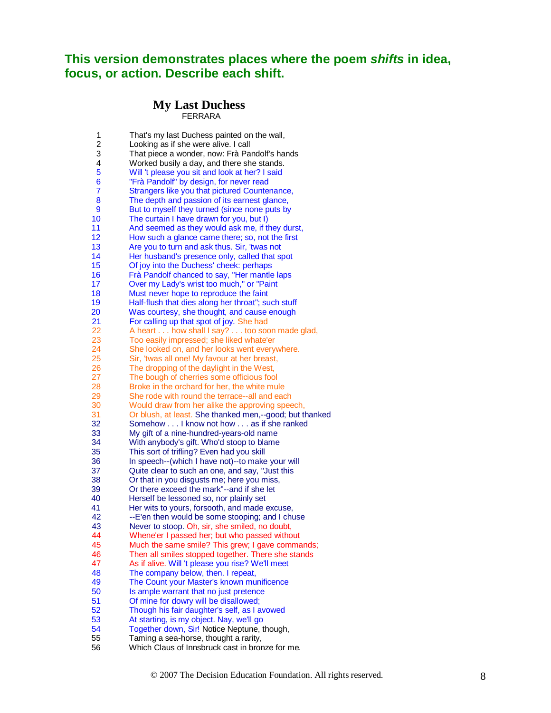## **This version demonstrates places where the poem** *shifts* **in idea, focus, or action. Describe each shift.**

#### **My Last DuchessFERRARA**

| 1<br>$\overline{c}$ | That's my last Duchess painted on the wall,<br>Looking as if she were alive. I call |
|---------------------|-------------------------------------------------------------------------------------|
| 3                   | That piece a wonder, now: Frà Pandolf's hands                                       |
| 4                   | Worked busily a day, and there she stands.                                          |
| 5                   | Will 't please you sit and look at her? I said                                      |
| 6                   | "Frà Pandolf" by design, for never read                                             |
| 7                   |                                                                                     |
|                     | Strangers like you that pictured Countenance,                                       |
| 8                   | The depth and passion of its earnest glance,                                        |
| 9                   | But to myself they turned (since none puts by                                       |
| 10                  | The curtain I have drawn for you, but I)                                            |
| 11                  | And seemed as they would ask me, if they durst,                                     |
| 12                  | How such a glance came there; so, not the first                                     |
| 13                  | Are you to turn and ask thus. Sir, 'twas not                                        |
| 14                  | Her husband's presence only, called that spot                                       |
| 15                  | Of joy into the Duchess' cheek: perhaps                                             |
| 16                  | Frà Pandolf chanced to say, "Her mantle laps                                        |
| 17                  | Over my Lady's wrist too much," or "Paint                                           |
| 18                  | Must never hope to reproduce the faint                                              |
| 19                  | Half-flush that dies along her throat"; such stuff                                  |
| 20                  | Was courtesy, she thought, and cause enough                                         |
| 21                  | For calling up that spot of joy. She had                                            |
| 22                  | A heart how shall I say? too soon made glad,                                        |
| 23                  | Too easily impressed; she liked whate'er                                            |
| 24                  | She looked on, and her looks went everywhere.                                       |
| 25                  | Sir, 'twas all one! My favour at her breast,                                        |
| 26                  | The dropping of the daylight in the West,                                           |
| 27                  | The bough of cherries some officious fool                                           |
| 28                  | Broke in the orchard for her, the white mule                                        |
| 29                  | She rode with round the terrace--all and each                                       |
| 30                  | Would draw from her alike the approving speech,                                     |
| 31                  | Or blush, at least. She thanked men,--good; but thanked                             |
| 32                  | Somehow I know not how as if she ranked                                             |
| 33                  | My gift of a nine-hundred-years-old name                                            |
| 34                  | With anybody's gift. Who'd stoop to blame                                           |
| 35                  | This sort of trifling? Even had you skill                                           |
| 36                  | In speech--(which I have not)--to make your will                                    |
| 37                  | Quite clear to such an one, and say, "Just this                                     |
| 38                  | Or that in you disgusts me; here you miss,                                          |
| 39                  | Or there exceed the mark"--and if she let                                           |
| 40                  | Herself be lessoned so, nor plainly set                                             |
| 41                  | Her wits to yours, forsooth, and made excuse,                                       |
| 42                  | --E'en then would be some stooping; and I chuse                                     |
| 43                  | Never to stoop. Oh, sir, she smiled, no doubt,                                      |
| 44                  |                                                                                     |
| 45                  | Whene'er I passed her; but who passed without                                       |
|                     | Much the same smile? This grew; I gave commands;                                    |
| 46                  | Then all smiles stopped together. There she stands                                  |
| 47                  | As if alive. Will 't please you rise? We'll meet                                    |
| 48                  | The company below, then. I repeat,                                                  |
| 49                  | The Count your Master's known munificence                                           |
| 50                  | Is ample warrant that no just pretence                                              |
| 51                  | Of mine for dowry will be disallowed;                                               |
| 52                  | Though his fair daughter's self, as I avowed                                        |
| 53                  | At starting, is my object. Nay, we'll go                                            |
| 54                  | Together down, Sir! Notice Neptune, though,                                         |
| 55                  | Taming a sea-horse, thought a rarity,                                               |
| 56                  | Which Claus of Innsbruck cast in bronze for me.                                     |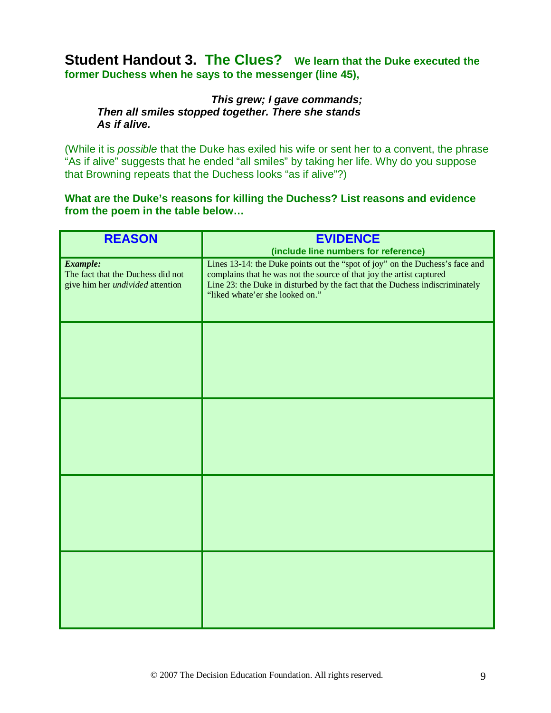## **Student Handout 3. The Clues? We learn that the Duke executed the former Duchess when he says to the messenger (line 45),**

#### *This grew; I gave commands; Then all smiles stopped together. There she stands As if alive.*

(While it is *possible* that the Duke has exiled his wife or sent her to a convent, the phrase "As if alive" suggests that he ended "all smiles" by taking her life. Why do you suppose that Browning repeats that the Duchess looks "as if alive"?)

**What are the Duke's reasons for killing the Duchess? List reasons and evidence from the poem in the table below…**

| <b>REASON</b>                                                                                   | <b>EVIDENCE</b><br>(include line numbers for reference)                                                                                                                                                                                                                 |
|-------------------------------------------------------------------------------------------------|-------------------------------------------------------------------------------------------------------------------------------------------------------------------------------------------------------------------------------------------------------------------------|
| <b>Example:</b><br>The fact that the Duchess did not<br>give him her <i>undivided</i> attention | Lines 13-14: the Duke points out the "spot of joy" on the Duchess's face and<br>complains that he was not the source of that joy the artist captured<br>Line 23: the Duke in disturbed by the fact that the Duchess indiscriminately<br>"liked whate'er she looked on." |
|                                                                                                 |                                                                                                                                                                                                                                                                         |
|                                                                                                 |                                                                                                                                                                                                                                                                         |
|                                                                                                 |                                                                                                                                                                                                                                                                         |
|                                                                                                 |                                                                                                                                                                                                                                                                         |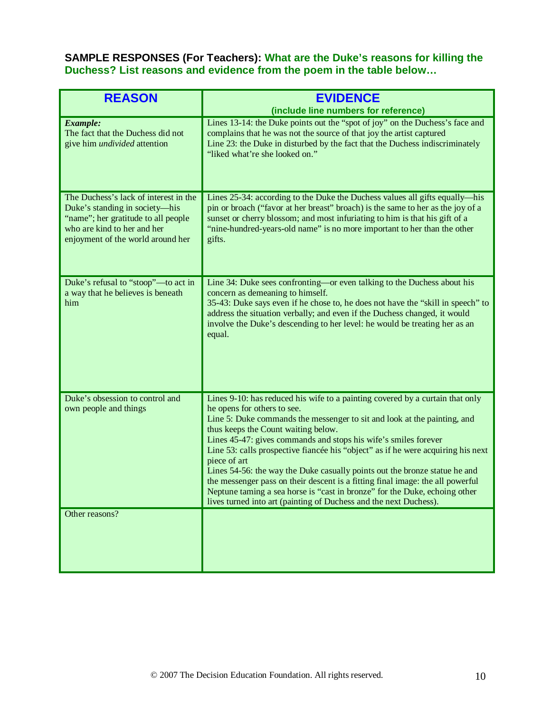#### **SAMPLE RESPONSES (For Teachers): What are the Duke's reasons for killing the Duchess? List reasons and evidence from the poem in the table below…**

| <b>REASON</b>                                                                                                                                                                      | <b>EVIDENCE</b><br>(include line numbers for reference)                                                                                                                                                                                                                                                                                                                                                                                                                                                                                                                                                                                                                                                                   |
|------------------------------------------------------------------------------------------------------------------------------------------------------------------------------------|---------------------------------------------------------------------------------------------------------------------------------------------------------------------------------------------------------------------------------------------------------------------------------------------------------------------------------------------------------------------------------------------------------------------------------------------------------------------------------------------------------------------------------------------------------------------------------------------------------------------------------------------------------------------------------------------------------------------------|
| <b>Example:</b><br>The fact that the Duchess did not<br>give him <i>undivided</i> attention                                                                                        | Lines 13-14: the Duke points out the "spot of joy" on the Duchess's face and<br>complains that he was not the source of that joy the artist captured<br>Line 23: the Duke in disturbed by the fact that the Duchess indiscriminately<br>"liked what're she looked on."                                                                                                                                                                                                                                                                                                                                                                                                                                                    |
| The Duchess's lack of interest in the<br>Duke's standing in society-his<br>"name"; her gratitude to all people<br>who are kind to her and her<br>enjoyment of the world around her | Lines 25-34: according to the Duke the Duchess values all gifts equally—his<br>pin or broach ("favor at her breast" broach) is the same to her as the joy of a<br>sunset or cherry blossom; and most infuriating to him is that his gift of a<br>"nine-hundred-years-old name" is no more important to her than the other<br>gifts.                                                                                                                                                                                                                                                                                                                                                                                       |
| Duke's refusal to "stoop"—to act in<br>a way that he believes is beneath<br>him                                                                                                    | Line 34: Duke sees confronting-or even talking to the Duchess about his<br>concern as demeaning to himself.<br>35-43: Duke says even if he chose to, he does not have the "skill in speech" to<br>address the situation verbally; and even if the Duchess changed, it would<br>involve the Duke's descending to her level: he would be treating her as an<br>equal.                                                                                                                                                                                                                                                                                                                                                       |
| Duke's obsession to control and<br>own people and things                                                                                                                           | Lines 9-10: has reduced his wife to a painting covered by a curtain that only<br>he opens for others to see.<br>Line 5: Duke commands the messenger to sit and look at the painting, and<br>thus keeps the Count waiting below.<br>Lines 45-47: gives commands and stops his wife's smiles forever<br>Line 53: calls prospective fiancée his "object" as if he were acquiring his next<br>piece of art<br>Lines 54-56: the way the Duke casually points out the bronze statue he and<br>the messenger pass on their descent is a fitting final image: the all powerful<br>Neptune taming a sea horse is "cast in bronze" for the Duke, echoing other<br>lives turned into art (painting of Duchess and the next Duchess). |
| Other reasons?                                                                                                                                                                     |                                                                                                                                                                                                                                                                                                                                                                                                                                                                                                                                                                                                                                                                                                                           |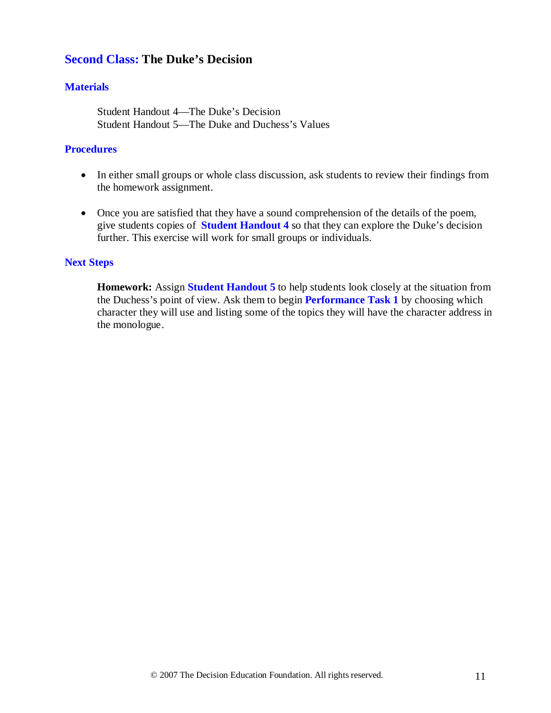### **Second Class: The Duke's Decision**

#### **Materials**

Student Handout 4—The Duke's Decision Student Handout 5—The Duke and Duchess's Values

#### **Procedures**

- In either small groups or whole class discussion, ask students to review their findings from the homework assignment.
- Once you are satisfied that they have a sound comprehension of the details of the poem, give students copies of **Student Handout 4** so that they can explore the Duke's decision further. This exercise will work for small groups or individuals.

#### **Next Steps**

**Homework:** Assign **Student Handout 5** to help students look closely at the situation from the Duchess's point of view. Ask them to begin **Performance Task 1** by choosing which character they will use and listing some of the topics they will have the character address in the monologue.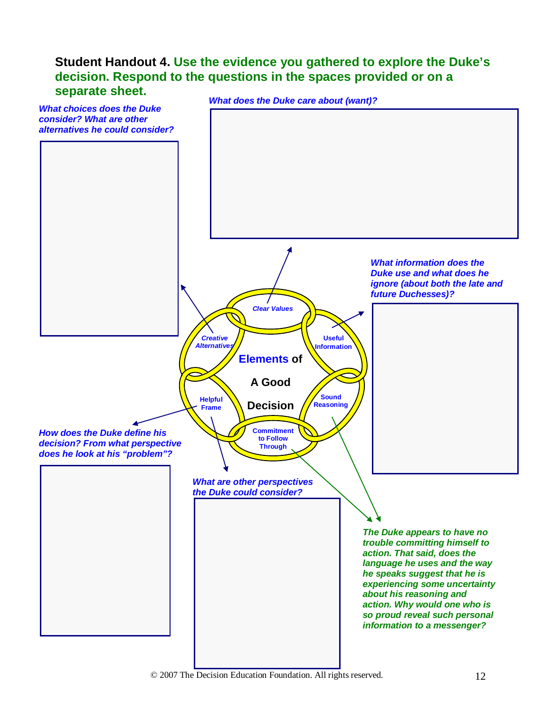## **Student Handout 4. Use the evidence you gathered to explore the Duke's decision. Respond to the questions in the spaces provided or on a separate sheet.**

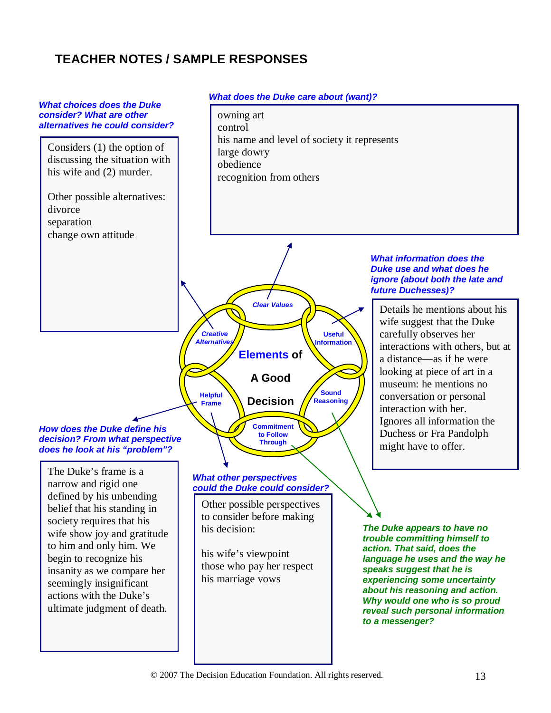## **TEACHER NOTES / SAMPLE RESPONSES**

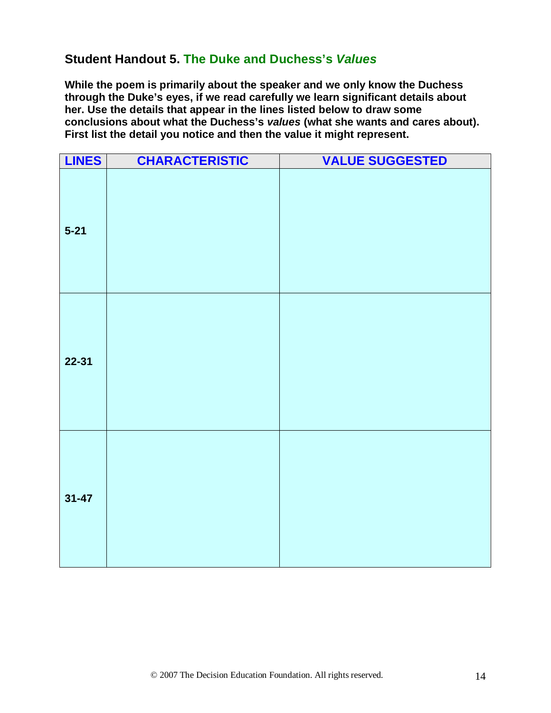## **Student Handout 5. The Duke and Duchess's** *Values*

**While the poem is primarily about the speaker and we only know the Duchess through the Duke's eyes, if we read carefully we learn significant details about her. Use the details that appear in the lines listed below to draw some conclusions about what the Duchess's** *values* **(what she wants and cares about). First list the detail you notice and then the value it might represent.**

| <b>LINES</b> | <b>CHARACTERISTIC</b> | <b>VALUE SUGGESTED</b> |
|--------------|-----------------------|------------------------|
| $5 - 21$     |                       |                        |
| $22 - 31$    |                       |                        |
| $31 - 47$    |                       |                        |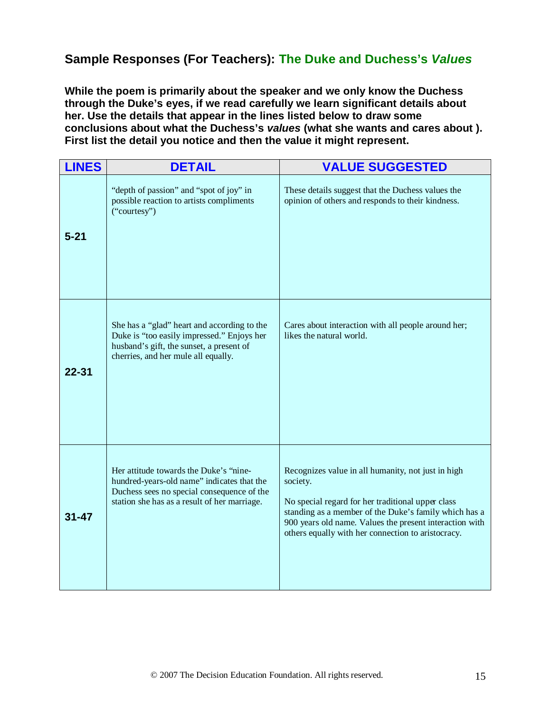## **Sample Responses (For Teachers): The Duke and Duchess's** *Values*

**While the poem is primarily about the speaker and we only know the Duchess through the Duke's eyes, if we read carefully we learn significant details about her. Use the details that appear in the lines listed below to draw some conclusions about what the Duchess's** *values* **(what she wants and cares about ). First list the detail you notice and then the value it might represent.**

| <b>LINES</b> | <b>DETAIL</b>                                                                                                                                                                      | <b>VALUE SUGGESTED</b>                                                                                                                                                                                                                                                                        |
|--------------|------------------------------------------------------------------------------------------------------------------------------------------------------------------------------------|-----------------------------------------------------------------------------------------------------------------------------------------------------------------------------------------------------------------------------------------------------------------------------------------------|
| $5 - 21$     | "depth of passion" and "spot of joy" in<br>possible reaction to artists compliments<br>("courtesy")                                                                                | These details suggest that the Duchess values the<br>opinion of others and responds to their kindness.                                                                                                                                                                                        |
| $22 - 31$    | She has a "glad" heart and according to the<br>Duke is "too easily impressed." Enjoys her<br>husband's gift, the sunset, a present of<br>cherries, and her mule all equally.       | Cares about interaction with all people around her;<br>likes the natural world.                                                                                                                                                                                                               |
| $31 - 47$    | Her attitude towards the Duke's "nine-<br>hundred-years-old name" indicates that the<br>Duchess sees no special consequence of the<br>station she has as a result of her marriage. | Recognizes value in all humanity, not just in high<br>society.<br>No special regard for her traditional upper class<br>standing as a member of the Duke's family which has a<br>900 years old name. Values the present interaction with<br>others equally with her connection to aristocracy. |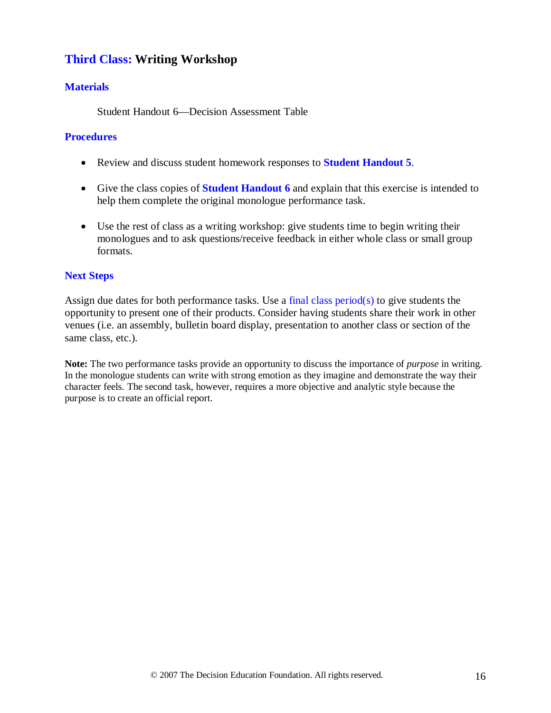### **Third Class: Writing Workshop**

#### **Materials**

Student Handout 6—Decision Assessment Table

#### **Procedures**

- Review and discuss student homework responses to **Student Handout 5**.
- Give the class copies of **Student Handout 6** and explain that this exercise is intended to help them complete the original monologue performance task.
- Use the rest of class as a writing workshop: give students time to begin writing their monologues and to ask questions/receive feedback in either whole class or small group formats.

#### **Next Steps**

Assign due dates for both performance tasks. Use a final class period( $s$ ) to give students the opportunity to present one of their products. Consider having students share their work in other venues (i.e. an assembly, bulletin board display, presentation to another class or section of the same class, etc.).

**Note:** The two performance tasks provide an opportunity to discuss the importance of *purpose* in writing. In the monologue students can write with strong emotion as they imagine and demonstrate the way their character feels. The second task, however, requires a more objective and analytic style because the purpose is to create an official report.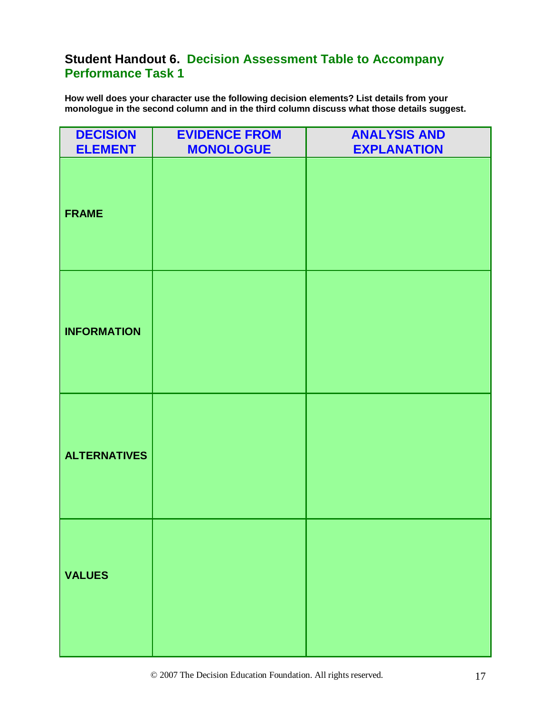## **Student Handout 6. Decision Assessment Table to Accompany Performance Task 1**

**How well does your character use the following decision elements? List details from your monologue in the second column and in the third column discuss what those details suggest.** 

| <b>DECISION</b><br><b>ELEMENT</b> | <b>EVIDENCE FROM</b><br><b>MONOLOGUE</b> | <b>ANALYSIS AND</b><br><b>EXPLANATION</b> |
|-----------------------------------|------------------------------------------|-------------------------------------------|
| <b>FRAME</b>                      |                                          |                                           |
| <b>INFORMATION</b>                |                                          |                                           |
| <b>ALTERNATIVES</b>               |                                          |                                           |
| <b>VALUES</b>                     |                                          |                                           |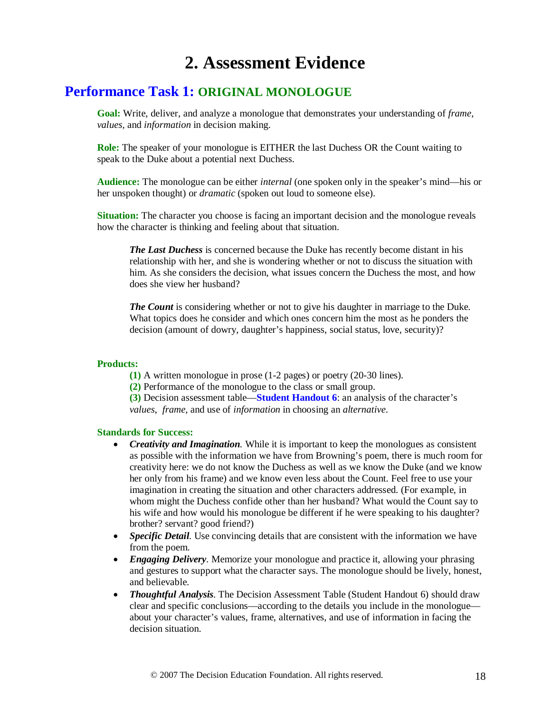## **2. Assessment Evidence**

## **Performance Task 1: ORIGINAL MONOLOGUE**

**Goal:** Write, deliver, and analyze a monologue that demonstrates your understanding of *frame, values,* and *information* in decision making.

**Role:** The speaker of your monologue is EITHER the last Duchess OR the Count waiting to speak to the Duke about a potential next Duchess.

**Audience:** The monologue can be either *internal* (one spoken only in the speaker's mind—his or her unspoken thought) or *dramatic* (spoken out loud to someone else).

**Situation:** The character you choose is facing an important decision and the monologue reveals how the character is thinking and feeling about that situation.

*The Last Duchess* is concerned because the Duke has recently become distant in his relationship with her, and she is wondering whether or not to discuss the situation with him. As she considers the decision, what issues concern the Duchess the most, and how does she view her husband?

*The Count* is considering whether or not to give his daughter in marriage to the Duke. What topics does he consider and which ones concern him the most as he ponders the decision (amount of dowry, daughter's happiness, social status, love, security)?

#### **Products:**

**(1)** A written monologue in prose (1-2 pages) or poetry (20-30 lines).

**(2)** Performance of the monologue to the class or small group.

**(3)** Decision assessment table—**Student Handout 6**: an analysis of the character's *values*, *frame,* and use of *information* in choosing an *alternative*.

#### **Standards for Success:**

- *Creativity and Imagination*. While it is important to keep the monologues as consistent as possible with the information we have from Browning's poem, there is much room for creativity here: we do not know the Duchess as well as we know the Duke (and we know her only from his frame) and we know even less about the Count. Feel free to use your imagination in creating the situation and other characters addressed. (For example, in whom might the Duchess confide other than her husband? What would the Count say to his wife and how would his monologue be different if he were speaking to his daughter? brother? servant? good friend?)
- *Specific Detail.* Use convincing details that are consistent with the information we have from the poem.
- *Engaging Delivery*. Memorize your monologue and practice it, allowing your phrasing and gestures to support what the character says. The monologue should be lively, honest, and believable.
- *Thoughtful Analysis.* The Decision Assessment Table (Student Handout 6) should draw clear and specific conclusions—according to the details you include in the monologue about your character's values, frame, alternatives, and use of information in facing the decision situation.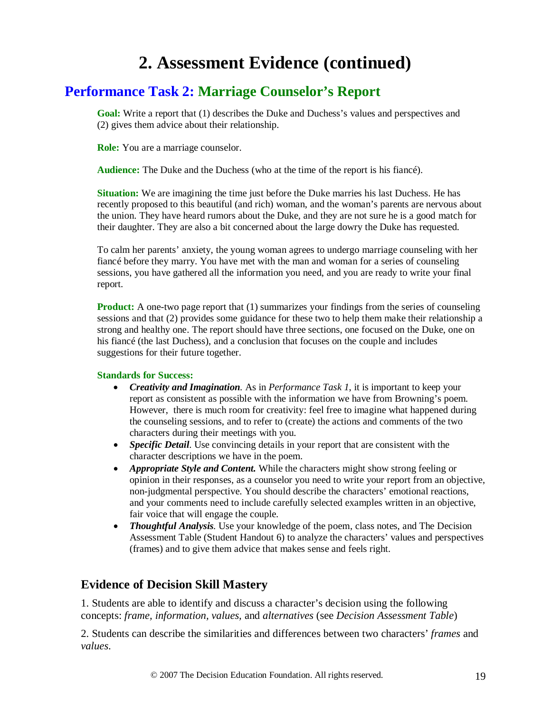## **2. Assessment Evidence (continued)**

## **Performance Task 2: Marriage Counselor's Report**

**Goal:** Write a report that (1) describes the Duke and Duchess's values and perspectives and (2) gives them advice about their relationship.

**Role:** You are a marriage counselor.

**Audience:** The Duke and the Duchess (who at the time of the report is his fiancé).

**Situation:** We are imagining the time just before the Duke marries his last Duchess. He has recently proposed to this beautiful (and rich) woman, and the woman's parents are nervous about the union. They have heard rumors about the Duke, and they are not sure he is a good match for their daughter. They are also a bit concerned about the large dowry the Duke has requested.

To calm her parents' anxiety, the young woman agrees to undergo marriage counseling with her fiancé before they marry. You have met with the man and woman for a series of counseling sessions, you have gathered all the information you need, and you are ready to write your final report.

**Product:** A one-two page report that (1) summarizes your findings from the series of counseling sessions and that (2) provides some guidance for these two to help them make their relationship a strong and healthy one. The report should have three sections, one focused on the Duke, one on his fiancé (the last Duchess), and a conclusion that focuses on the couple and includes suggestions for their future together.

#### **Standards for Success:**

- *Creativity and Imagination.* As in *Performance Task 1*, it is important to keep your report as consistent as possible with the information we have from Browning's poem. However, there is much room for creativity: feel free to imagine what happened during the counseling sessions, and to refer to (create) the actions and comments of the two characters during their meetings with you.
- *Specific Detail.* Use convincing details in your report that are consistent with the character descriptions we have in the poem.
- *Appropriate Style and Content.* While the characters might show strong feeling or opinion in their responses, as a counselor you need to write your report from an objective, non-judgmental perspective. You should describe the characters' emotional reactions, and your comments need to include carefully selected examples written in an objective, fair voice that will engage the couple.
- *Thoughtful Analysis.* Use your knowledge of the poem, class notes, and The Decision Assessment Table (Student Handout 6) to analyze the characters' values and perspectives (frames) and to give them advice that makes sense and feels right.

#### **Evidence of Decision Skill Mastery**

1. Students are able to identify and discuss a character's decision using the following concepts: *frame, information, values,* and *alternatives* (see *Decision Assessment Table*)

2. Students can describe the similarities and differences between two characters' *frames* and *values*.